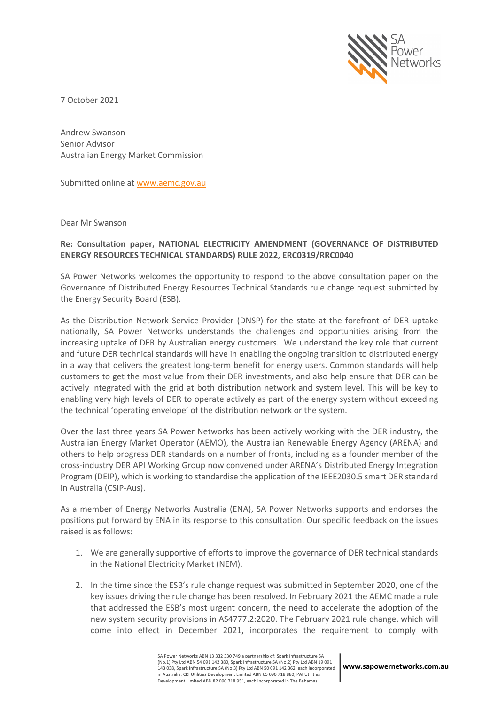

7 October 2021

Andrew Swanson Senior Advisor Australian Energy Market Commission

Submitted online at www.aemc.gov.au

Dear Mr Swanson

## **Re: Consultation paper, NATIONAL ELECTRICITY AMENDMENT (GOVERNANCE OF DISTRIBUTED ENERGY RESOURCES TECHNICAL STANDARDS) RULE 2022, ERC0319/RRC0040**

SA Power Networks welcomes the opportunity to respond to the above consultation paper on the Governance of Distributed Energy Resources Technical Standards rule change request submitted by the Energy Security Board (ESB).

As the Distribution Network Service Provider (DNSP) for the state at the forefront of DER uptake nationally, SA Power Networks understands the challenges and opportunities arising from the increasing uptake of DER by Australian energy customers. We understand the key role that current and future DER technical standards will have in enabling the ongoing transition to distributed energy in a way that delivers the greatest long-term benefit for energy users. Common standards will help customers to get the most value from their DER investments, and also help ensure that DER can be actively integrated with the grid at both distribution network and system level. This will be key to enabling very high levels of DER to operate actively as part of the energy system without exceeding the technical 'operating envelope' of the distribution network or the system.

Over the last three years SA Power Networks has been actively working with the DER industry, the Australian Energy Market Operator (AEMO), the Australian Renewable Energy Agency (ARENA) and others to help progress DER standards on a number of fronts, including as a founder member of the cross-industry DER API Working Group now convened under ARENA's Distributed Energy Integration Program (DEIP), which is working to standardise the application of the IEEE2030.5 smart DER standard in Australia (CSIP-Aus).

As a member of Energy Networks Australia (ENA), SA Power Networks supports and endorses the positions put forward by ENA in its response to this consultation. Our specific feedback on the issues raised is as follows:

- 1. We are generally supportive of efforts to improve the governance of DER technical standards in the National Electricity Market (NEM).
- 2. In the time since the ESB's rule change request was submitted in September 2020, one of the key issues driving the rule change has been resolved. In February 2021 the AEMC made a rule that addressed the ESB's most urgent concern, the need to accelerate the adoption of the new system security provisions in AS4777.2:2020. The February 2021 rule change, which will come into effect in December 2021, incorporates the requirement to comply with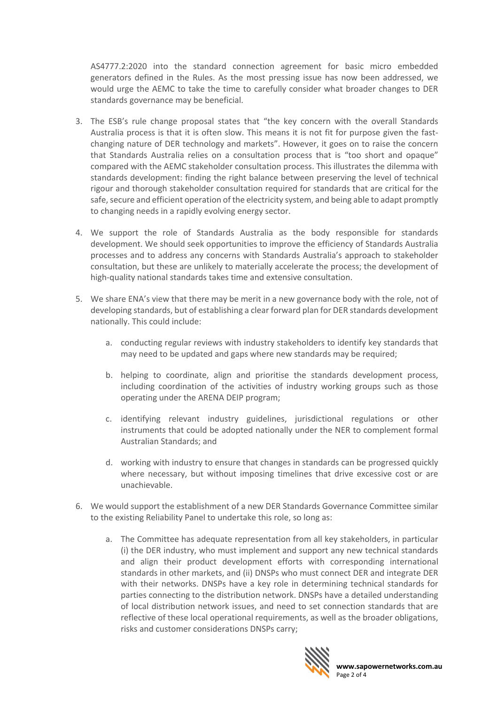AS4777.2:2020 into the standard connection agreement for basic micro embedded generators defined in the Rules. As the most pressing issue has now been addressed, we would urge the AEMC to take the time to carefully consider what broader changes to DER standards governance may be beneficial.

- 3. The ESB's rule change proposal states that "the key concern with the overall Standards Australia process is that it is often slow. This means it is not fit for purpose given the fastchanging nature of DER technology and markets". However, it goes on to raise the concern that Standards Australia relies on a consultation process that is "too short and opaque" compared with the AEMC stakeholder consultation process. This illustrates the dilemma with standards development: finding the right balance between preserving the level of technical rigour and thorough stakeholder consultation required for standards that are critical for the safe, secure and efficient operation of the electricity system, and being able to adapt promptly to changing needs in a rapidly evolving energy sector.
- 4. We support the role of Standards Australia as the body responsible for standards development. We should seek opportunities to improve the efficiency of Standards Australia processes and to address any concerns with Standards Australia's approach to stakeholder consultation, but these are unlikely to materially accelerate the process; the development of high-quality national standards takes time and extensive consultation.
- 5. We share ENA's view that there may be merit in a new governance body with the role, not of developing standards, but of establishing a clear forward plan for DER standards development nationally. This could include:
	- a. conducting regular reviews with industry stakeholders to identify key standards that may need to be updated and gaps where new standards may be required;
	- b. helping to coordinate, align and prioritise the standards development process, including coordination of the activities of industry working groups such as those operating under the ARENA DEIP program;
	- c. identifying relevant industry guidelines, jurisdictional regulations or other instruments that could be adopted nationally under the NER to complement formal Australian Standards; and
	- d. working with industry to ensure that changes in standards can be progressed quickly where necessary, but without imposing timelines that drive excessive cost or are unachievable.
- 6. We would support the establishment of a new DER Standards Governance Committee similar to the existing Reliability Panel to undertake this role, so long as:
	- a. The Committee has adequate representation from all key stakeholders, in particular (i) the DER industry, who must implement and support any new technical standards and align their product development efforts with corresponding international standards in other markets, and (ii) DNSPs who must connect DER and integrate DER with their networks. DNSPs have a key role in determining technical standards for parties connecting to the distribution network. DNSPs have a detailed understanding of local distribution network issues, and need to set connection standards that are reflective of these local operational requirements, as well as the broader obligations, risks and customer considerations DNSPs carry;

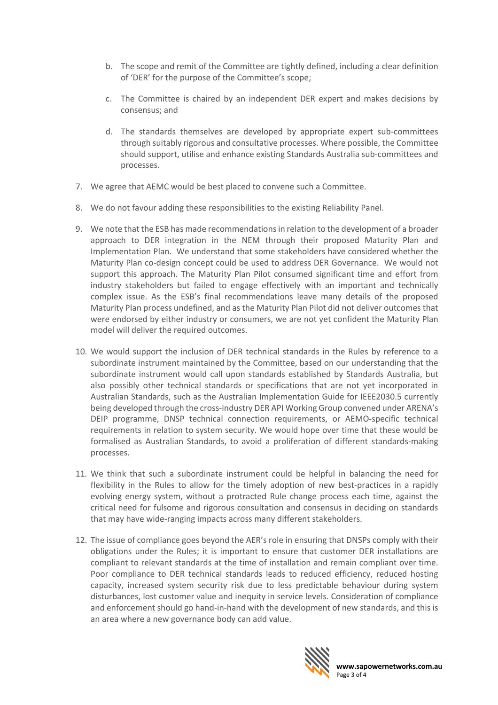- b. The scope and remit of the Committee are tightly defined, including a clear definition of 'DER' for the purpose of the Committee's scope;
- c. The Committee is chaired by an independent DER expert and makes decisions by consensus; and
- d. The standards themselves are developed by appropriate expert sub-committees through suitably rigorous and consultative processes. Where possible, the Committee should support, utilise and enhance existing Standards Australia sub-committees and processes.
- 7. We agree that AEMC would be best placed to convene such a Committee.
- 8. We do not favour adding these responsibilities to the existing Reliability Panel.
- 9. We note that the ESB has made recommendations in relation to the development of a broader approach to DER integration in the NEM through their proposed Maturity Plan and Implementation Plan. We understand that some stakeholders have considered whether the Maturity Plan co-design concept could be used to address DER Governance. We would not support this approach. The Maturity Plan Pilot consumed significant time and effort from industry stakeholders but failed to engage effectively with an important and technically complex issue. As the ESB's final recommendations leave many details of the proposed Maturity Plan process undefined, and as the Maturity Plan Pilot did not deliver outcomes that were endorsed by either industry or consumers, we are not yet confident the Maturity Plan model will deliver the required outcomes.
- 10. We would support the inclusion of DER technical standards in the Rules by reference to a subordinate instrument maintained by the Committee, based on our understanding that the subordinate instrument would call upon standards established by Standards Australia, but also possibly other technical standards or specifications that are not yet incorporated in Australian Standards, such as the Australian Implementation Guide for IEEE2030.5 currently being developed through the cross-industry DER API Working Group convened under ARENA's DEIP programme, DNSP technical connection requirements, or AEMO-specific technical requirements in relation to system security. We would hope over time that these would be formalised as Australian Standards, to avoid a proliferation of different standards-making processes.
- 11. We think that such a subordinate instrument could be helpful in balancing the need for flexibility in the Rules to allow for the timely adoption of new best-practices in a rapidly evolving energy system, without a protracted Rule change process each time, against the critical need for fulsome and rigorous consultation and consensus in deciding on standards that may have wide-ranging impacts across many different stakeholders.
- 12. The issue of compliance goes beyond the AER's role in ensuring that DNSPs comply with their obligations under the Rules; it is important to ensure that customer DER installations are compliant to relevant standards at the time of installation and remain compliant over time. Poor compliance to DER technical standards leads to reduced efficiency, reduced hosting capacity, increased system security risk due to less predictable behaviour during system disturbances, lost customer value and inequity in service levels. Consideration of compliance and enforcement should go hand-in-hand with the development of new standards, and this is an area where a new governance body can add value.